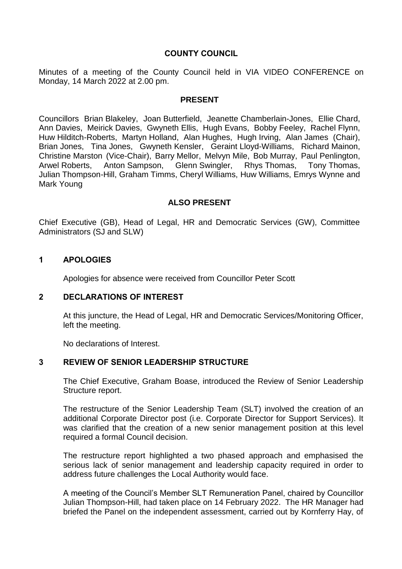# **COUNTY COUNCIL**

Minutes of a meeting of the County Council held in VIA VIDEO CONFERENCE on Monday, 14 March 2022 at 2.00 pm.

### **PRESENT**

Councillors Brian Blakeley, Joan Butterfield, Jeanette Chamberlain-Jones, Ellie Chard, Ann Davies, Meirick Davies, Gwyneth Ellis, Hugh Evans, Bobby Feeley, Rachel Flynn, Huw Hilditch-Roberts, Martyn Holland, Alan Hughes, Hugh Irving, Alan James (Chair), Brian Jones, Tina Jones, Gwyneth Kensler, Geraint Lloyd-Williams, Richard Mainon, Christine Marston (Vice-Chair), Barry Mellor, Melvyn Mile, Bob Murray, Paul Penlington, Arwel Roberts, Anton Sampson, Glenn Swingler, Rhys Thomas, Tony Thomas, Julian Thompson-Hill, Graham Timms, Cheryl Williams, Huw Williams, Emrys Wynne and Mark Young

### **ALSO PRESENT**

Chief Executive (GB), Head of Legal, HR and Democratic Services (GW), Committee Administrators (SJ and SLW)

## **1 APOLOGIES**

Apologies for absence were received from Councillor Peter Scott

### **2 DECLARATIONS OF INTEREST**

At this juncture, the Head of Legal, HR and Democratic Services/Monitoring Officer, left the meeting.

No declarations of Interest.

### **3 REVIEW OF SENIOR LEADERSHIP STRUCTURE**

The Chief Executive, Graham Boase, introduced the Review of Senior Leadership Structure report.

The restructure of the Senior Leadership Team (SLT) involved the creation of an additional Corporate Director post (i.e. Corporate Director for Support Services). It was clarified that the creation of a new senior management position at this level required a formal Council decision.

The restructure report highlighted a two phased approach and emphasised the serious lack of senior management and leadership capacity required in order to address future challenges the Local Authority would face.

A meeting of the Council's Member SLT Remuneration Panel, chaired by Councillor Julian Thompson-Hill, had taken place on 14 February 2022. The HR Manager had briefed the Panel on the independent assessment, carried out by Kornferry Hay, of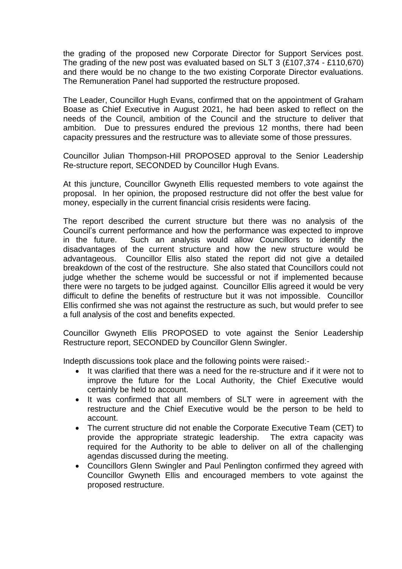the grading of the proposed new Corporate Director for Support Services post. The grading of the new post was evaluated based on SLT 3 (£107,374 - £110,670) and there would be no change to the two existing Corporate Director evaluations. The Remuneration Panel had supported the restructure proposed.

The Leader, Councillor Hugh Evans, confirmed that on the appointment of Graham Boase as Chief Executive in August 2021, he had been asked to reflect on the needs of the Council, ambition of the Council and the structure to deliver that ambition. Due to pressures endured the previous 12 months, there had been capacity pressures and the restructure was to alleviate some of those pressures.

Councillor Julian Thompson-Hill PROPOSED approval to the Senior Leadership Re-structure report, SECONDED by Councillor Hugh Evans.

At this juncture, Councillor Gwyneth Ellis requested members to vote against the proposal. In her opinion, the proposed restructure did not offer the best value for money, especially in the current financial crisis residents were facing.

The report described the current structure but there was no analysis of the Council's current performance and how the performance was expected to improve in the future. Such an analysis would allow Councillors to identify the disadvantages of the current structure and how the new structure would be advantageous. Councillor Ellis also stated the report did not give a detailed breakdown of the cost of the restructure. She also stated that Councillors could not judge whether the scheme would be successful or not if implemented because there were no targets to be judged against. Councillor Ellis agreed it would be very difficult to define the benefits of restructure but it was not impossible. Councillor Ellis confirmed she was not against the restructure as such, but would prefer to see a full analysis of the cost and benefits expected.

Councillor Gwyneth Ellis PROPOSED to vote against the Senior Leadership Restructure report, SECONDED by Councillor Glenn Swingler.

Indepth discussions took place and the following points were raised:-

- It was clarified that there was a need for the re-structure and if it were not to improve the future for the Local Authority, the Chief Executive would certainly be held to account.
- It was confirmed that all members of SLT were in agreement with the restructure and the Chief Executive would be the person to be held to account.
- The current structure did not enable the Corporate Executive Team (CET) to provide the appropriate strategic leadership. The extra capacity was required for the Authority to be able to deliver on all of the challenging agendas discussed during the meeting.
- Councillors Glenn Swingler and Paul Penlington confirmed they agreed with Councillor Gwyneth Ellis and encouraged members to vote against the proposed restructure.